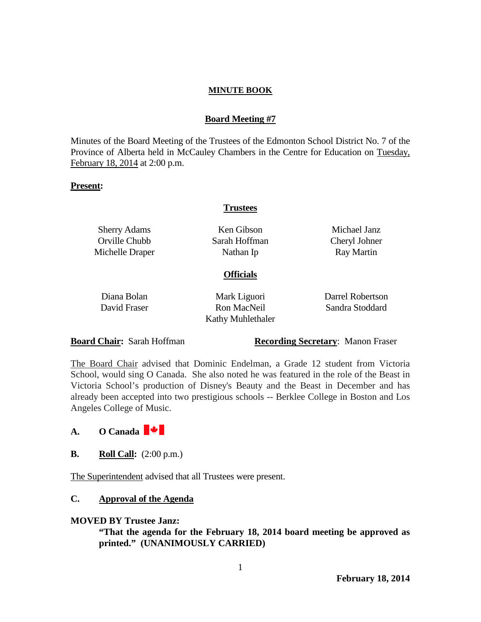### **Board Meeting #7**

Minutes of the Board Meeting of the Trustees of the Edmonton School District No. 7 of the Province of Alberta held in McCauley Chambers in the Centre for Education on Tuesday, February 18, 2014 at 2:00 p.m.

#### **Present:**

#### **Trustees**

| <b>Sherry Adams</b><br>Orville Chubb<br>Michelle Draper | Ken Gibson<br>Sarah Hoffman<br>Nathan Ip                | Michael Janz<br>Cheryl Johner<br><b>Ray Martin</b> |
|---------------------------------------------------------|---------------------------------------------------------|----------------------------------------------------|
|                                                         | <b>Officials</b>                                        |                                                    |
| Diana Bolan<br>David Fraser                             | Mark Liguori<br>Ron MacNeil<br><b>Kathy Muhlethaler</b> | Darrel Robertson<br>Sandra Stoddard                |

**Board Chair:** Sarah Hoffman **Recording Secretary**: Manon Fraser

The Board Chair advised that Dominic Endelman, a Grade 12 student from Victoria School, would sing O Canada. She also noted he was featured in the role of the Beast in Victoria School's production of Disney's Beauty and the Beast in December and has already been accepted into two prestigious schools -- Berklee College in Boston and Los Angeles College of Music.

# **A. O Canada**

**B. Roll Call:**  $(2:00 \text{ p.m.})$ 

The Superintendent advised that all Trustees were present.

## **C. Approval of the Agenda**

#### **MOVED BY Trustee Janz:**

**"That the agenda for the February 18, 2014 board meeting be approved as printed." (UNANIMOUSLY CARRIED)**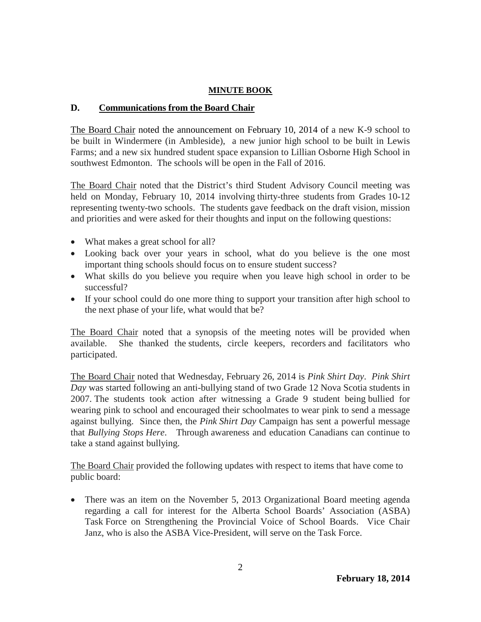## **D. Communications from the Board Chair**

The Board Chair noted the announcement on February 10, 2014 of a new K-9 school to be built in Windermere (in Ambleside), a new junior high school to be built in Lewis Farms; and a new six hundred student space expansion to Lillian Osborne High School in southwest Edmonton. The schools will be open in the Fall of 2016.

The Board Chair noted that the District's third Student Advisory Council meeting was held on Monday, February 10, 2014 involving thirty-three students from Grades 10-12 representing twenty-two schools. The students gave feedback on the draft vision, mission and priorities and were asked for their thoughts and input on the following questions:

- What makes a great school for all?
- Looking back over your years in school, what do you believe is the one most important thing schools should focus on to ensure student success?
- What skills do you believe you require when you leave high school in order to be successful?
- If your school could do one more thing to support your transition after high school to the next phase of your life, what would that be?

The Board Chair noted that a synopsis of the meeting notes will be provided when available. She thanked the students, circle keepers, recorders and facilitators who participated.

The Board Chair noted that Wednesday, February 26, 2014 is *Pink Shirt Day*. *Pink Shirt Day* was started following an anti-bullying stand of two Grade 12 Nova Scotia students in 2007. The students took action after witnessing a Grade 9 student being bullied for wearing pink to school and encouraged their schoolmates to wear pink to send a message against bullying. Since then, the *Pink Shirt Day* Campaign has sent a powerful message that *Bullying Stops Here*. Through awareness and education Canadians can continue to take a stand against bullying.

The Board Chair provided the following updates with respect to items that have come to public board:

• There was an item on the November 5, 2013 Organizational Board meeting agenda regarding a call for interest for the Alberta School Boards' Association (ASBA) Task Force on Strengthening the Provincial Voice of School Boards. Vice Chair Janz, who is also the ASBA Vice-President, will serve on the Task Force.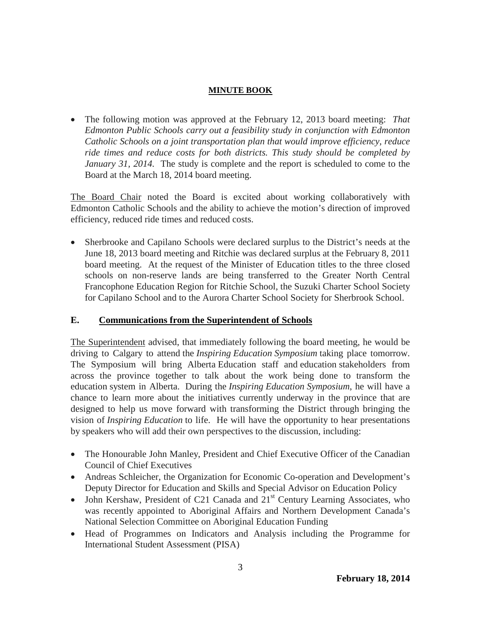• The following motion was approved at the February 12, 2013 board meeting: *That Edmonton Public Schools carry out a feasibility study in conjunction with Edmonton Catholic Schools on a joint transportation plan that would improve efficiency, reduce ride times and reduce costs for both districts. This study should be completed by January 31, 2014.* The study is complete and the report is scheduled to come to the Board at the March 18, 2014 board meeting.

The Board Chair noted the Board is excited about working collaboratively with Edmonton Catholic Schools and the ability to achieve the motion's direction of improved efficiency, reduced ride times and reduced costs.

• Sherbrooke and Capilano Schools were declared surplus to the District's needs at the June 18, 2013 board meeting and Ritchie was declared surplus at the February 8, 2011 board meeting. At the request of the Minister of Education titles to the three closed schools on non-reserve lands are being transferred to the Greater North Central Francophone Education Region for Ritchie School, the Suzuki Charter School Society for Capilano School and to the Aurora Charter School Society for Sherbrook School.

## **E. Communications from the Superintendent of Schools**

The Superintendent advised, that immediately following the board meeting, he would be driving to Calgary to attend the *Inspiring Education Symposium* taking place tomorrow. The Symposium will bring Alberta Education staff and education stakeholders from across the province together to talk about the work being done to transform the education system in Alberta. During the *Inspiring Education Symposium*, he will have a chance to learn more about the initiatives currently underway in the province that are designed to help us move forward with transforming the District through bringing the vision of *Inspiring Education* to life. He will have the opportunity to hear presentations by speakers who will add their own perspectives to the discussion, including:

- The Honourable John Manley, President and Chief Executive Officer of the Canadian Council of Chief Executives
- Andreas Schleicher, the Organization for Economic Co-operation and Development's Deputy Director for Education and Skills and Special Advisor on Education Policy
- John Kershaw, President of C21 Canada and  $21<sup>st</sup>$  Century Learning Associates, who was recently appointed to Aboriginal Affairs and Northern Development Canada's National Selection Committee on Aboriginal Education Funding
- Head of Programmes on Indicators and Analysis including the Programme for International Student Assessment (PISA)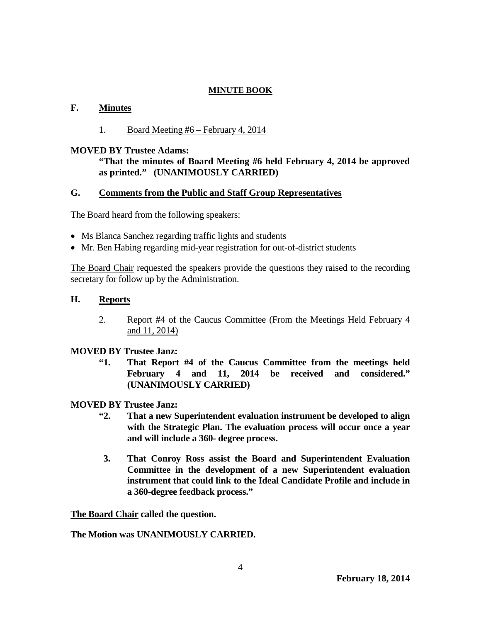## **F. Minutes**

## 1. Board Meeting #6 – February 4, 2014

### **MOVED BY Trustee Adams:**

## **"That the minutes of Board Meeting #6 held February 4, 2014 be approved as printed." (UNANIMOUSLY CARRIED)**

## **G. Comments from the Public and Staff Group Representatives**

The Board heard from the following speakers:

- Ms Blanca Sanchez regarding traffic lights and students
- Mr. Ben Habing regarding mid-year registration for out-of-district students

The Board Chair requested the speakers provide the questions they raised to the recording secretary for follow up by the Administration.

#### **H. Reports**

2. Report #4 of the Caucus Committee (From the Meetings Held February 4 and 11, 2014)

## **MOVED BY Trustee Janz:**

**"1. That Report #4 of the Caucus Committee from the meetings held February 4 and 11, 2014 be received and considered." (UNANIMOUSLY CARRIED)**

#### **MOVED BY Trustee Janz:**

- **"2. That a new Superintendent evaluation instrument be developed to align with the Strategic Plan. The evaluation process will occur once a year and will include a 360- degree process.**
- **3. That Conroy Ross assist the Board and Superintendent Evaluation Committee in the development of a new Superintendent evaluation instrument that could link to the Ideal Candidate Profile and include in a 360-degree feedback process."**

**The Board Chair called the question.**

#### **The Motion was UNANIMOUSLY CARRIED.**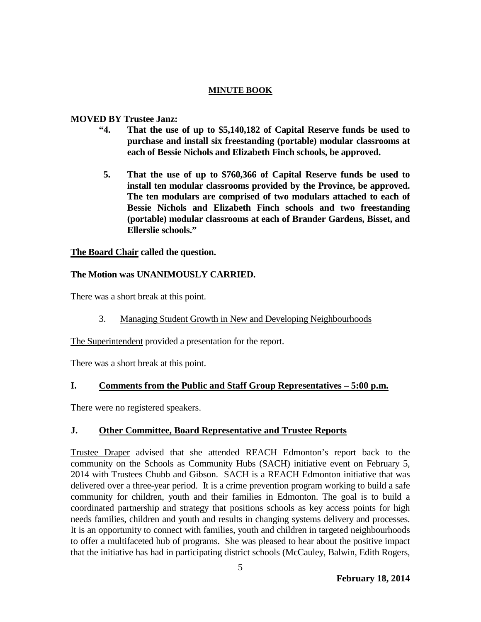#### **MOVED BY Trustee Janz:**

- **"4. That the use of up to \$5,140,182 of Capital Reserve funds be used to purchase and install six freestanding (portable) modular classrooms at each of Bessie Nichols and Elizabeth Finch schools, be approved.**
- **5. That the use of up to \$760,366 of Capital Reserve funds be used to install ten modular classrooms provided by the Province, be approved. The ten modulars are comprised of two modulars attached to each of Bessie Nichols and Elizabeth Finch schools and two freestanding (portable) modular classrooms at each of Brander Gardens, Bisset, and Ellerslie schools."**

## **The Board Chair called the question.**

## **The Motion was UNANIMOUSLY CARRIED.**

There was a short break at this point.

3. Managing Student Growth in New and Developing Neighbourhoods

The Superintendent provided a presentation for the report.

There was a short break at this point.

## **I. Comments from the Public and Staff Group Representatives – 5:00 p.m.**

There were no registered speakers.

## **J. Other Committee, Board Representative and Trustee Reports**

Trustee Draper advised that she attended REACH Edmonton's report back to the community on the Schools as Community Hubs (SACH) initiative event on February 5, 2014 with Trustees Chubb and Gibson. SACH is a REACH Edmonton initiative that was delivered over a three-year period. It is a crime prevention program working to build a safe community for children, youth and their families in Edmonton. The goal is to build a coordinated partnership and strategy that positions schools as key access points for high needs families, children and youth and results in changing systems delivery and processes. It is an opportunity to connect with families, youth and children in targeted neighbourhoods to offer a multifaceted hub of programs. She was pleased to hear about the positive impact that the initiative has had in participating district schools (McCauley, Balwin, Edith Rogers,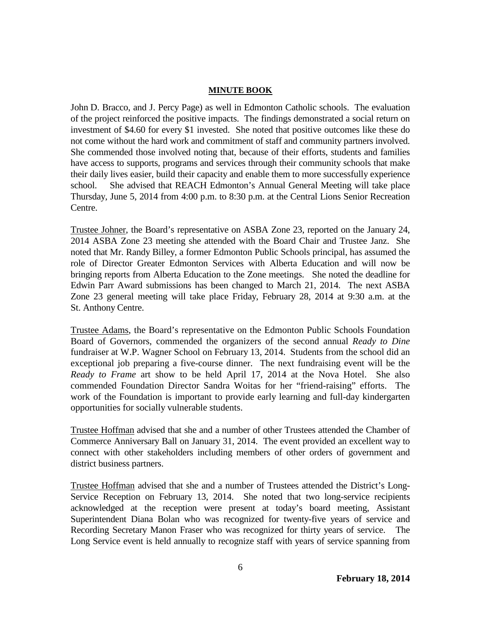John D. Bracco, and J. Percy Page) as well in Edmonton Catholic schools. The evaluation of the project reinforced the positive impacts. The findings demonstrated a social return on investment of \$4.60 for every \$1 invested. She noted that positive outcomes like these do not come without the hard work and commitment of staff and community partners involved. She commended those involved noting that, because of their efforts, students and families have access to supports, programs and services through their community schools that make their daily lives easier, build their capacity and enable them to more successfully experience school. She advised that REACH Edmonton's Annual General Meeting will take place Thursday, June 5, 2014 from 4:00 p.m. to 8:30 p.m. at the Central Lions Senior Recreation Centre.

Trustee Johner, the Board's representative on ASBA Zone 23, reported on the January 24, 2014 ASBA Zone 23 meeting she attended with the Board Chair and Trustee Janz. She noted that Mr. Randy Billey, a former Edmonton Public Schools principal, has assumed the role of Director Greater Edmonton Services with Alberta Education and will now be bringing reports from Alberta Education to the Zone meetings. She noted the deadline for Edwin Parr Award submissions has been changed to March 21, 2014. The next ASBA Zone 23 general meeting will take place Friday, February 28, 2014 at 9:30 a.m. at the St. Anthony Centre.

Trustee Adams, the Board's representative on the Edmonton Public Schools Foundation Board of Governors, commended the organizers of the second annual *Ready to Dine* fundraiser at W.P. Wagner School on February 13, 2014. Students from the school did an exceptional job preparing a five-course dinner. The next fundraising event will be the *Ready to Frame* art show to be held April 17, 2014 at the Nova Hotel. She also commended Foundation Director Sandra Woitas for her "friend-raising" efforts. The work of the Foundation is important to provide early learning and full-day kindergarten opportunities for socially vulnerable students.

Trustee Hoffman advised that she and a number of other Trustees attended the Chamber of Commerce Anniversary Ball on January 31, 2014. The event provided an excellent way to connect with other stakeholders including members of other orders of government and district business partners.

Trustee Hoffman advised that she and a number of Trustees attended the District's Long-Service Reception on February 13, 2014. She noted that two long-service recipients acknowledged at the reception were present at today's board meeting, Assistant Superintendent Diana Bolan who was recognized for twenty-five years of service and Recording Secretary Manon Fraser who was recognized for thirty years of service. The Long Service event is held annually to recognize staff with years of service spanning from